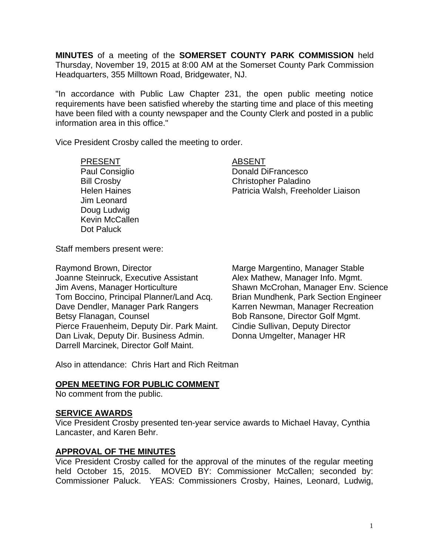**MINUTES** of a meeting of the **SOMERSET COUNTY PARK COMMISSION** held Thursday, November 19, 2015 at 8:00 AM at the Somerset County Park Commission Headquarters, 355 Milltown Road, Bridgewater, NJ.

"In accordance with Public Law Chapter 231, the open public meeting notice requirements have been satisfied whereby the starting time and place of this meeting have been filed with a county newspaper and the County Clerk and posted in a public information area in this office."

Vice President Crosby called the meeting to order.

#### PRESENT ABSENT

Jim Leonard Doug Ludwig Kevin McCallen Dot Paluck

Paul Consiglio **Donald DiFrancesco** Bill Crosby Christopher Paladino Helen Haines Patricia Walsh, Freeholder Liaison

Staff members present were:

Raymond Brown, Director **Marge Marge Margentino, Manager Stable** Joanne Steinruck, Executive Assistant Alex Mathew, Manager Info. Mgmt. Jim Avens, Manager Horticulture Shawn McCrohan, Manager Env. Science Tom Boccino, Principal Planner/Land Acq. Brian Mundhenk, Park Section Engineer Dave Dendler, Manager Park Rangers<br>Bob Ransone, Director Golf Mgmt.<br>Bob Ransone, Director Golf Mgmt. Pierce Frauenheim, Deputy Dir. Park Maint. Cindie Sullivan, Deputy Director Dan Livak, Deputy Dir. Business Admin. Donna Umgelter, Manager HR Darrell Marcinek, Director Golf Maint.

Bob Ransone, Director Golf Mgmt.

Also in attendance: Chris Hart and Rich Reitman

## **OPEN MEETING FOR PUBLIC COMMENT**

No comment from the public.

#### **SERVICE AWARDS**

Vice President Crosby presented ten-year service awards to Michael Havay, Cynthia Lancaster, and Karen Behr.

## **APPROVAL OF THE MINUTES**

Vice President Crosby called for the approval of the minutes of the regular meeting held October 15, 2015. MOVED BY: Commissioner McCallen; seconded by: Commissioner Paluck. YEAS: Commissioners Crosby, Haines, Leonard, Ludwig,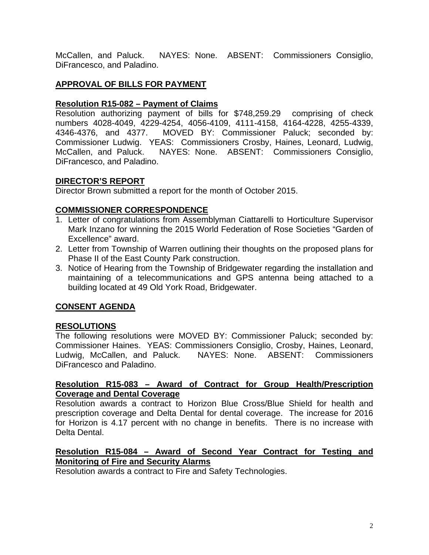McCallen, and Paluck. NAYES: None. ABSENT: Commissioners Consiglio, DiFrancesco, and Paladino.

# **APPROVAL OF BILLS FOR PAYMENT**

## **Resolution R15-082 – Payment of Claims**

Resolution authorizing payment of bills for \$748,259.29 comprising of check numbers 4028-4049, 4229-4254, 4056-4109, 4111-4158, 4164-4228, 4255-4339, 4346-4376, and 4377. MOVED BY: Commissioner Paluck; seconded by: Commissioner Ludwig. YEAS: Commissioners Crosby, Haines, Leonard, Ludwig, McCallen, and Paluck. NAYES: None. ABSENT: Commissioners Consiglio, DiFrancesco, and Paladino.

# **DIRECTOR'S REPORT**

Director Brown submitted a report for the month of October 2015.

# **COMMISSIONER CORRESPONDENCE**

- 1. Letter of congratulations from Assemblyman Ciattarelli to Horticulture Supervisor Mark Inzano for winning the 2015 World Federation of Rose Societies "Garden of Excellence" award.
- 2. Letter from Township of Warren outlining their thoughts on the proposed plans for Phase II of the East County Park construction.
- 3. Notice of Hearing from the Township of Bridgewater regarding the installation and maintaining of a telecommunications and GPS antenna being attached to a building located at 49 Old York Road, Bridgewater.

# **CONSENT AGENDA**

## **RESOLUTIONS**

The following resolutions were MOVED BY: Commissioner Paluck; seconded by: Commissioner Haines. YEAS: Commissioners Consiglio, Crosby, Haines, Leonard, Ludwig, McCallen, and Paluck. NAYES: None. ABSENT: Commissioners DiFrancesco and Paladino.

## **Resolution R15-083 – Award of Contract for Group Health/Prescription Coverage and Dental Coverage**

Resolution awards a contract to Horizon Blue Cross/Blue Shield for health and prescription coverage and Delta Dental for dental coverage. The increase for 2016 for Horizon is 4.17 percent with no change in benefits. There is no increase with Delta Dental.

## **Resolution R15-084 – Award of Second Year Contract for Testing and Monitoring of Fire and Security Alarms**

Resolution awards a contract to Fire and Safety Technologies.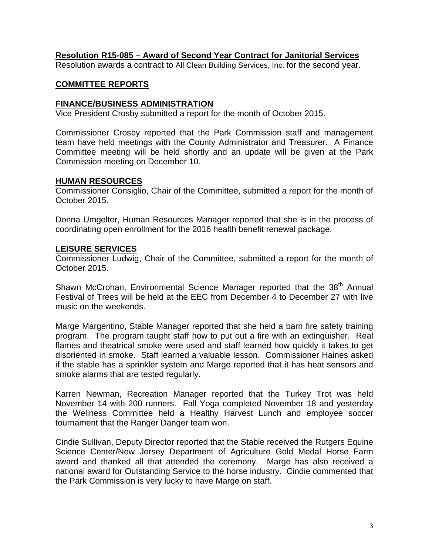## **Resolution R15-085 – Award of Second Year Contract for Janitorial Services**

Resolution awards a contract to All Clean Building Services, Inc. for the second year.

## **COMMITTEE REPORTS**

#### **FINANCE/BUSINESS ADMINISTRATION**

Vice President Crosby submitted a report for the month of October 2015.

Commissioner Crosby reported that the Park Commission staff and management team have held meetings with the County Administrator and Treasurer. A Finance Committee meeting will be held shortly and an update will be given at the Park Commission meeting on December 10.

#### **HUMAN RESOURCES**

Commissioner Consiglio, Chair of the Committee, submitted a report for the month of October 2015.

Donna Umgelter, Human Resources Manager reported that she is in the process of coordinating open enrollment for the 2016 health benefit renewal package.

#### **LEISURE SERVICES**

Commissioner Ludwig, Chair of the Committee, submitted a report for the month of October 2015.

Shawn McCrohan, Environmental Science Manager reported that the 38<sup>th</sup> Annual Festival of Trees will be held at the EEC from December 4 to December 27 with live music on the weekends.

Marge Margentino, Stable Manager reported that she held a barn fire safety training program. The program taught staff how to put out a fire with an extinguisher. Real flames and theatrical smoke were used and staff learned how quickly it takes to get disoriented in smoke. Staff learned a valuable lesson. Commissioner Haines asked if the stable has a sprinkler system and Marge reported that it has heat sensors and smoke alarms that are tested regularly.

Karren Newman, Recreation Manager reported that the Turkey Trot was held November 14 with 200 runners. Fall Yoga completed November 18 and yesterday the Wellness Committee held a Healthy Harvest Lunch and employee soccer tournament that the Ranger Danger team won.

Cindie Sullivan, Deputy Director reported that the Stable received the Rutgers Equine Science Center/New Jersey Department of Agriculture Gold Medal Horse Farm award and thanked all that attended the ceremony. Marge has also received a national award for Outstanding Service to the horse industry. Cindie commented that the Park Commission is very lucky to have Marge on staff.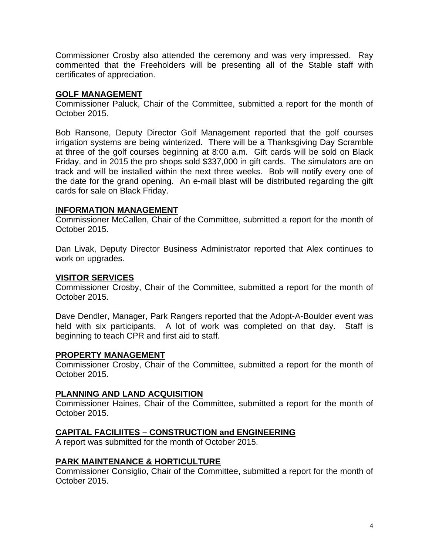Commissioner Crosby also attended the ceremony and was very impressed. Ray commented that the Freeholders will be presenting all of the Stable staff with certificates of appreciation.

## **GOLF MANAGEMENT**

Commissioner Paluck, Chair of the Committee, submitted a report for the month of October 2015.

Bob Ransone, Deputy Director Golf Management reported that the golf courses irrigation systems are being winterized. There will be a Thanksgiving Day Scramble at three of the golf courses beginning at 8:00 a.m. Gift cards will be sold on Black Friday, and in 2015 the pro shops sold \$337,000 in gift cards. The simulators are on track and will be installed within the next three weeks. Bob will notify every one of the date for the grand opening. An e-mail blast will be distributed regarding the gift cards for sale on Black Friday.

## **INFORMATION MANAGEMENT**

Commissioner McCallen, Chair of the Committee, submitted a report for the month of October 2015.

Dan Livak, Deputy Director Business Administrator reported that Alex continues to work on upgrades.

## **VISITOR SERVICES**

Commissioner Crosby, Chair of the Committee, submitted a report for the month of October 2015.

Dave Dendler, Manager, Park Rangers reported that the Adopt-A-Boulder event was held with six participants. A lot of work was completed on that day. Staff is beginning to teach CPR and first aid to staff.

## **PROPERTY MANAGEMENT**

Commissioner Crosby, Chair of the Committee, submitted a report for the month of October 2015.

## **PLANNING AND LAND ACQUISITION**

Commissioner Haines, Chair of the Committee, submitted a report for the month of October 2015.

## **CAPITAL FACILIITES – CONSTRUCTION and ENGINEERING**

A report was submitted for the month of October 2015.

## **PARK MAINTENANCE & HORTICULTURE**

Commissioner Consiglio, Chair of the Committee, submitted a report for the month of October 2015.